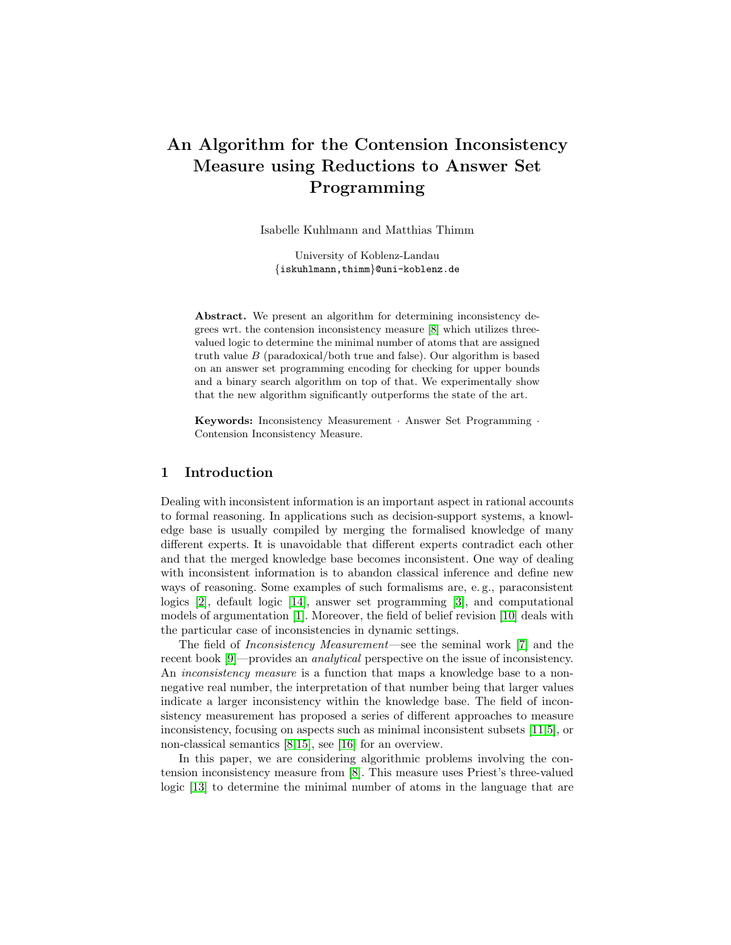# An Algorithm for the Contension Inconsistency Measure using Reductions to Answer Set Programming

Isabelle Kuhlmann and Matthias Thimm

University of Koblenz-Landau {iskuhlmann,thimm}@uni-koblenz.de

Abstract. We present an algorithm for determining inconsistency degrees wrt. the contension inconsistency measure [\[8\]](#page-7-0) which utilizes threevalued logic to determine the minimal number of atoms that are assigned truth value  $B$  (paradoxical/both true and false). Our algorithm is based on an answer set programming encoding for checking for upper bounds and a binary search algorithm on top of that. We experimentally show that the new algorithm significantly outperforms the state of the art.

Keywords: Inconsistency Measurement · Answer Set Programming · Contension Inconsistency Measure.

# 1 Introduction

Dealing with inconsistent information is an important aspect in rational accounts to formal reasoning. In applications such as decision-support systems, a knowledge base is usually compiled by merging the formalised knowledge of many different experts. It is unavoidable that different experts contradict each other and that the merged knowledge base becomes inconsistent. One way of dealing with inconsistent information is to abandon classical inference and define new ways of reasoning. Some examples of such formalisms are, e. g., paraconsistent logics [\[2\]](#page-7-1), default logic [\[14\]](#page-7-2), answer set programming [\[3\]](#page-7-3), and computational models of argumentation [\[1\]](#page-7-4). Moreover, the field of belief revision [\[10\]](#page-7-5) deals with the particular case of inconsistencies in dynamic settings.

The field of Inconsistency Measurement—see the seminal work [\[7\]](#page-7-6) and the recent book [\[9\]](#page-7-7)—provides an analytical perspective on the issue of inconsistency. An *inconsistency measure* is a function that maps a knowledge base to a nonnegative real number, the interpretation of that number being that larger values indicate a larger inconsistency within the knowledge base. The field of inconsistency measurement has proposed a series of different approaches to measure inconsistency, focusing on aspects such as minimal inconsistent subsets [\[11,](#page-7-8)[5\]](#page-7-9), or non-classical semantics [\[8](#page-7-0)[,15\]](#page-7-10), see [\[16\]](#page-7-11) for an overview.

In this paper, we are considering algorithmic problems involving the contension inconsistency measure from [\[8\]](#page-7-0). This measure uses Priest's three-valued logic [\[13\]](#page-7-12) to determine the minimal number of atoms in the language that are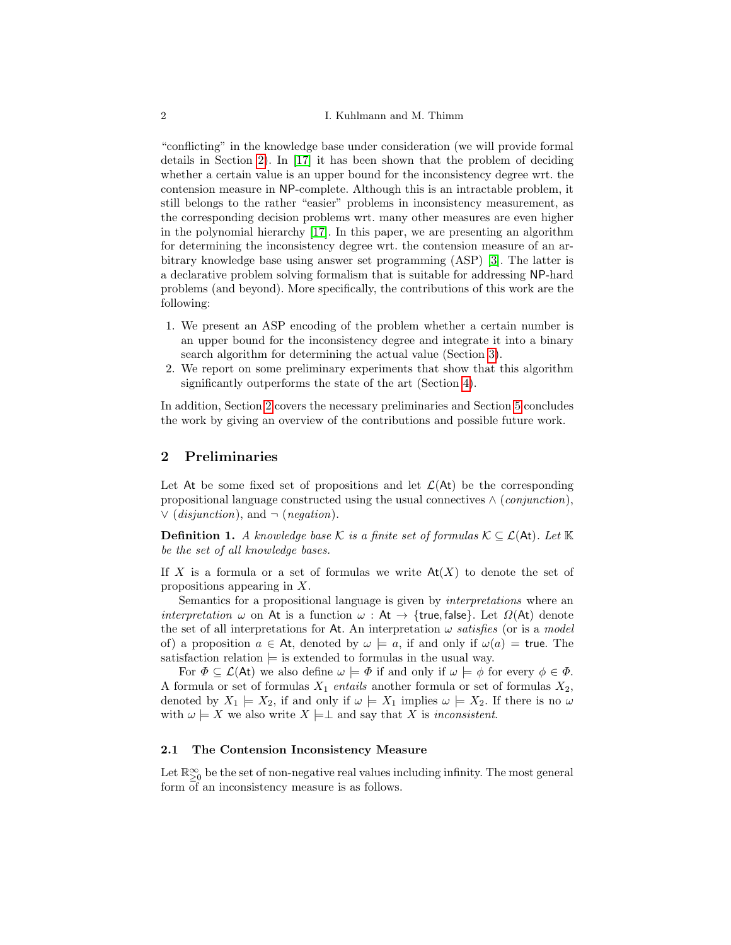"conflicting" in the knowledge base under consideration (we will provide formal details in Section [2\)](#page-1-0). In [\[17\]](#page-7-13) it has been shown that the problem of deciding whether a certain value is an upper bound for the inconsistency degree wrt. the contension measure in NP-complete. Although this is an intractable problem, it still belongs to the rather "easier" problems in inconsistency measurement, as the corresponding decision problems wrt. many other measures are even higher in the polynomial hierarchy [\[17\]](#page-7-13). In this paper, we are presenting an algorithm for determining the inconsistency degree wrt. the contension measure of an arbitrary knowledge base using answer set programming (ASP) [\[3\]](#page-7-3). The latter is a declarative problem solving formalism that is suitable for addressing NP-hard problems (and beyond). More specifically, the contributions of this work are the following:

- 1. We present an ASP encoding of the problem whether a certain number is an upper bound for the inconsistency degree and integrate it into a binary search algorithm for determining the actual value (Section [3\)](#page-4-0).
- 2. We report on some preliminary experiments that show that this algorithm significantly outperforms the state of the art (Section [4\)](#page-6-0).

In addition, Section [2](#page-1-0) covers the necessary preliminaries and Section [5](#page-7-14) concludes the work by giving an overview of the contributions and possible future work.

# <span id="page-1-0"></span>2 Preliminaries

Let At be some fixed set of propositions and let  $\mathcal{L}(A_t)$  be the corresponding propositional language constructed using the usual connectives  $\wedge$  (*conjunction*),  $\vee$  (*disjunction*), and  $\neg$  (*negation*).

**Definition 1.** A knowledge base K is a finite set of formulas  $K \subseteq \mathcal{L}(A_t)$ . Let  $K$ be the set of all knowledge bases.

If X is a formula or a set of formulas we write  $At(X)$  to denote the set of propositions appearing in X.

Semantics for a propositional language is given by interpretations where an interpretation  $\omega$  on At is a function  $\omega$ : At  $\rightarrow$  {true, false}. Let  $\Omega(At)$  denote the set of all interpretations for At. An interpretation  $\omega$  satisfies (or is a model of) a proposition  $a \in At$ , denoted by  $\omega \models a$ , if and only if  $\omega(a) =$  true. The satisfaction relation  $\models$  is extended to formulas in the usual way.

For  $\Phi \subseteq \mathcal{L}(A_t)$  we also define  $\omega \models \Phi$  if and only if  $\omega \models \phi$  for every  $\phi \in \Phi$ . A formula or set of formulas  $X_1$  entails another formula or set of formulas  $X_2$ , denoted by  $X_1 \models X_2$ , if and only if  $\omega \models X_1$  implies  $\omega \models X_2$ . If there is no  $\omega$ with  $\omega \models X$  we also write  $X \models \perp$  and say that X is inconsistent.

#### 2.1 The Contension Inconsistency Measure

<span id="page-1-1"></span>Let  $\mathbb{R}^{\infty}_{\geq 0}$  be the set of non-negative real values including infinity. The most general form of an inconsistency measure is as follows.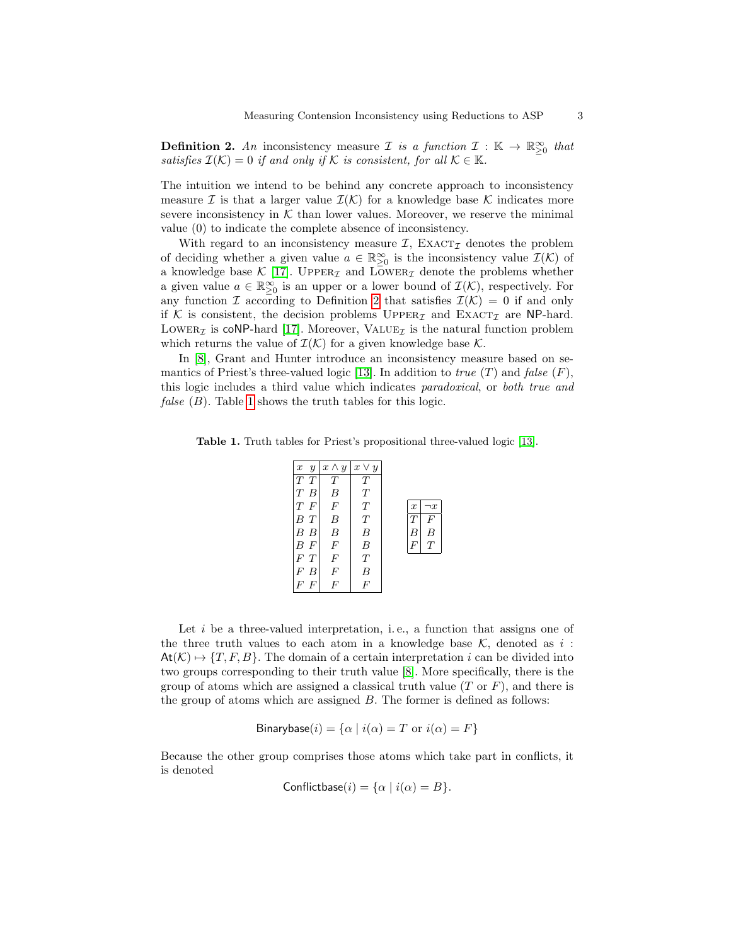**Definition 2.** An inconsistency measure *I* is a function  $I : \mathbb{K} \to \mathbb{R}^{\infty}_{\geq 0}$  that satisfies  $\mathcal{I}(\mathcal{K}) = 0$  if and only if K is consistent, for all  $\mathcal{K} \in \mathbb{K}$ .

The intuition we intend to be behind any concrete approach to inconsistency measure I is that a larger value  $\mathcal{I}(\mathcal{K})$  for a knowledge base K indicates more severe inconsistency in  $K$  than lower values. Moreover, we reserve the minimal value (0) to indicate the complete absence of inconsistency.

With regard to an inconsistency measure  $\mathcal{I}$ , EXACT<sub> $\mathcal{I}$ </sub> denotes the problem of deciding whether a given value  $a \in \mathbb{R}^{\infty}_{\geq 0}$  is the inconsistency value  $\mathcal{I}(\mathcal{K})$  of a knowledge base  $K$  [\[17\]](#page-7-13). UPPER<sub>Z</sub> and LowER<sub>Z</sub> denote the problems whether a given value  $a \in \mathbb{R}_{\geq 0}^{\infty}$  is an upper or a lower bound of  $\mathcal{I}(\mathcal{K})$ , respectively. For any function I according to Definition [2](#page-1-1) that satisfies  $\mathcal{I}(\mathcal{K}) = 0$  if and only if K is consistent, the decision problems  $\text{Upper}_{\mathcal{I}}$  and  $\text{Exact}_{\mathcal{I}}$  are NP-hard. LOWER<sub>Z</sub> is coNP-hard [\[17\]](#page-7-13). Moreover, VALUE<sub>Z</sub> is the natural function problem which returns the value of  $\mathcal{I}(\mathcal{K})$  for a given knowledge base  $\mathcal{K}$ .

In [\[8\]](#page-7-0), Grant and Hunter introduce an inconsistency measure based on se-mantics of Priest's three-valued logic [\[13\]](#page-7-12). In addition to *true*  $(T)$  and *false*  $(F)$ , this logic includes a third value which indicates paradoxical, or both true and *false*  $(B)$ . Table [1](#page-2-0) shows the truth tables for this logic.

<span id="page-2-0"></span>Table 1. Truth tables for Priest's propositional three-valued logic [\[13\]](#page-7-12).

| $\boldsymbol{x}$ | $\overline{y}$   | $x \wedge y$   | $x \vee y$ |                  |          |
|------------------|------------------|----------------|------------|------------------|----------|
| T T              |                  | T              | T          |                  |          |
| $T$ $B$          |                  | B              | T          |                  |          |
| $T$ F            |                  | $\overline{F}$ | T          | $\boldsymbol{x}$ | $\neg x$ |
|                  | $B$ $T$          | B              | T          |                  | F        |
|                  | B B              | B              | B          | R                | B        |
|                  | $B$ $F$          | $\overline{F}$ | B          | F                | T        |
| F T              |                  | F              | T          |                  |          |
|                  | F B              | F              | B          |                  |          |
| F                | $\boldsymbol{F}$ | F              | F          |                  |          |

Let  $i$  be a three-valued interpretation, i.e., a function that assigns one of the three truth values to each atom in a knowledge base  $K$ , denoted as  $i$ :  $At(\mathcal{K}) \rightarrow \{T, F, B\}$ . The domain of a certain interpretation i can be divided into two groups corresponding to their truth value [\[8\]](#page-7-0). More specifically, there is the group of atoms which are assigned a classical truth value  $(T \text{ or } F)$ , and there is the group of atoms which are assigned B. The former is defined as follows:

$$
Binarybase(i) = \{ \alpha \mid i(\alpha) = T \text{ or } i(\alpha) = F \}
$$

Because the other group comprises those atoms which take part in conflicts, it is denoted

Conflictbase(i) = {
$$
\alpha
$$
 |  $i(\alpha) = B$  }.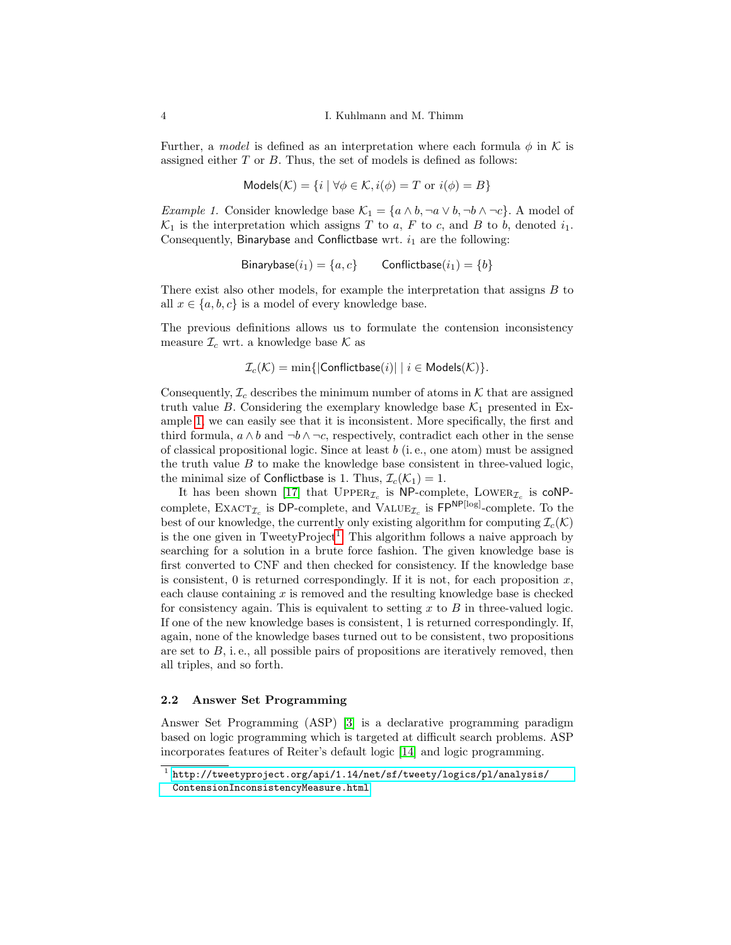Further, a model is defined as an interpretation where each formula  $\phi$  in K is assigned either T or B. Thus, the set of models is defined as follows:

$$
Models(K) = \{ i \mid \forall \phi \in K, i(\phi) = T \text{ or } i(\phi) = B \}
$$

<span id="page-3-0"></span>*Example 1.* Consider knowledge base  $\mathcal{K}_1 = \{a \wedge b, \neg a \vee b, \neg b \wedge \neg c\}$ . A model of  $\mathcal{K}_1$  is the interpretation which assigns T to a, F to c, and B to b, denoted  $i_1$ . Consequently, Binarybase and Conflictbase wrt.  $i_1$  are the following:

$$
Binarybase(i_1) = \{a, c\} \qquad \text{Conflictbase}(i_1) = \{b\}
$$

There exist also other models, for example the interpretation that assigns  $B$  to all  $x \in \{a, b, c\}$  is a model of every knowledge base.

The previous definitions allows us to formulate the contension inconsistency measure  $\mathcal{I}_c$  wrt. a knowledge base  $\mathcal K$  as

$$
\mathcal{I}_c(\mathcal{K}) = \min\{|\mathsf{Conflictbase}(i)| \mid i \in \mathsf{Models}(\mathcal{K})\}.
$$

Consequently,  $\mathcal{I}_c$  describes the minimum number of atoms in K that are assigned truth value B. Considering the exemplary knowledge base  $\mathcal{K}_1$  presented in Example [1,](#page-3-0) we can easily see that it is inconsistent. More specifically, the first and third formula,  $a \wedge b$  and  $\neg b \wedge \neg c$ , respectively, contradict each other in the sense of classical propositional logic. Since at least  $b$  (i.e., one atom) must be assigned the truth value  $B$  to make the knowledge base consistent in three-valued logic, the minimal size of Conflictbase is 1. Thus,  $\mathcal{I}_c(\mathcal{K}_1) = 1$ .

It has been shown [\[17\]](#page-7-13) that  $\text{Upper}_{\mathcal{I}_c}$  is  $\text{NP-complete}$ , LOWER $_{\mathcal{I}_c}$  is  $\text{coNP--}$ complete,  $\text{EXACT}_{\mathcal{I}_c}$  is DP-complete, and  $\text{VALUE}_{\mathcal{I}_c}$  is  $\text{FP}^{\text{NP[log]}}$ -complete. To the best of our knowledge, the currently only existing algorithm for computing  $\mathcal{I}_c(\mathcal{K})$ is the one given in TweetyProject<sup>[1](#page-3-1)</sup>. This algorithm follows a naive approach by searching for a solution in a brute force fashion. The given knowledge base is first converted to CNF and then checked for consistency. If the knowledge base is consistent, 0 is returned correspondingly. If it is not, for each proposition  $x$ , each clause containing  $x$  is removed and the resulting knowledge base is checked for consistency again. This is equivalent to setting  $x$  to  $B$  in three-valued logic. If one of the new knowledge bases is consistent, 1 is returned correspondingly. If, again, none of the knowledge bases turned out to be consistent, two propositions are set to  $B$ , i.e., all possible pairs of propositions are iteratively removed, then all triples, and so forth.

#### 2.2 Answer Set Programming

Answer Set Programming (ASP) [\[3\]](#page-7-3) is a declarative programming paradigm based on logic programming which is targeted at difficult search problems. ASP incorporates features of Reiter's default logic [\[14\]](#page-7-2) and logic programming.

<span id="page-3-1"></span> $^{\rm 1}$  [http://tweetyproject.org/api/1.14/net/sf/tweety/logics/pl/analysis/](http://tweetyproject.org/api/1.14/net/sf/tweety/logics/pl/analysis/ContensionInconsistencyMeasure.html) [ContensionInconsistencyMeasure.html](http://tweetyproject.org/api/1.14/net/sf/tweety/logics/pl/analysis/ContensionInconsistencyMeasure.html)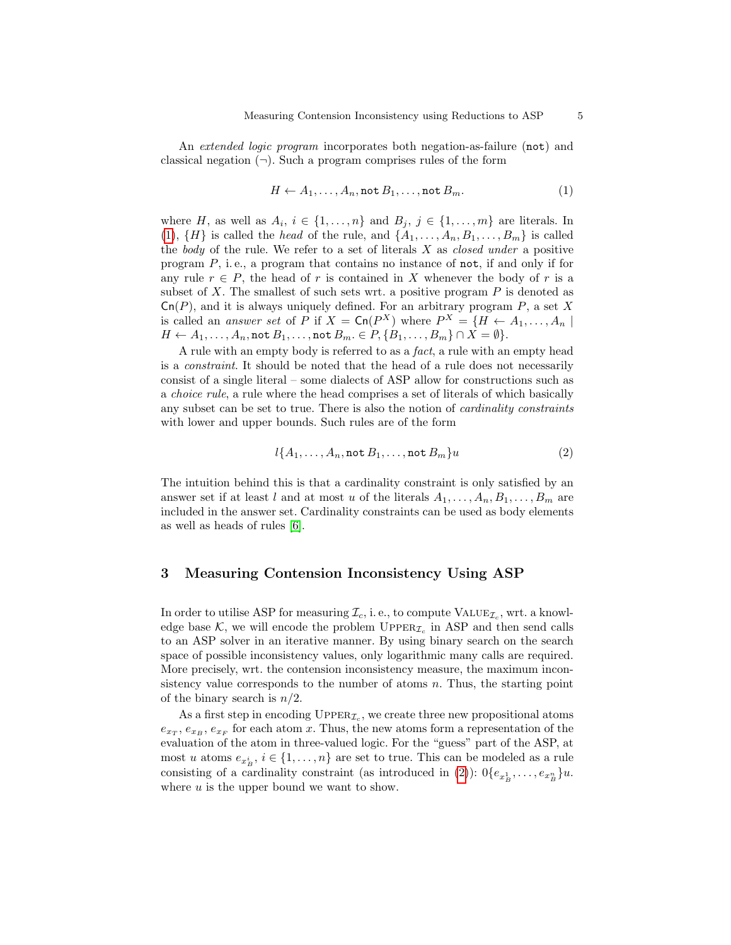An extended logic program incorporates both negation-as-failure (not) and classical negation  $(\neg)$ . Such a program comprises rules of the form

<span id="page-4-1"></span>
$$
H \leftarrow A_1, \dots, A_n, \text{not } B_1, \dots, \text{not } B_m.
$$
 (1)

where H, as well as  $A_i$ ,  $i \in \{1, ..., n\}$  and  $B_j$ ,  $j \in \{1, ..., m\}$  are literals. In [\(1\)](#page-4-1),  $\{H\}$  is called the head of the rule, and  $\{A_1, \ldots, A_n, B_1, \ldots, B_m\}$  is called the body of the rule. We refer to a set of literals  $X$  as *closed under* a positive program  $P$ , i.e., a program that contains no instance of not, if and only if for any rule  $r \in P$ , the head of r is contained in X whenever the body of r is a subset of X. The smallest of such sets wrt. a positive program  $P$  is denoted as  $\mathsf{Cn}(P)$ , and it is always uniquely defined. For an arbitrary program P, a set X is called an *answer set* of P if  $X = \text{Cn}(P^X)$  where  $P^X = \{H \leftarrow A_1, \dots, A_n \mid$  $H \leftarrow A_1, \ldots, A_n$ , not  $B_1, \ldots$ , not  $B_m \in P, \{B_1, \ldots, B_m\} \cap X = \emptyset\}.$ 

A rule with an empty body is referred to as a fact, a rule with an empty head is a constraint. It should be noted that the head of a rule does not necessarily consist of a single literal – some dialects of ASP allow for constructions such as a choice rule, a rule where the head comprises a set of literals of which basically any subset can be set to true. There is also the notion of cardinality constraints with lower and upper bounds. Such rules are of the form

<span id="page-4-2"></span>
$$
l\{A_1, \ldots, A_n, \text{not } B_1, \ldots, \text{not } B_m\}u\tag{2}
$$

The intuition behind this is that a cardinality constraint is only satisfied by an answer set if at least l and at most u of the literals  $A_1, \ldots, A_n, B_1, \ldots, B_m$  are included in the answer set. Cardinality constraints can be used as body elements as well as heads of rules [\[6\]](#page-7-15).

# <span id="page-4-0"></span>3 Measuring Contension Inconsistency Using ASP

In order to utilise ASP for measuring  $\mathcal{I}_c$ , i.e., to compute  $\text{VALUE}_{\mathcal{I}_c}$ , wrt. a knowledge base  $K$ , we will encode the problem UPPER<sub> $\mathcal{I}_c$ </sub> in ASP and then send calls to an ASP solver in an iterative manner. By using binary search on the search space of possible inconsistency values, only logarithmic many calls are required. More precisely, wrt. the contension inconsistency measure, the maximum inconsistency value corresponds to the number of atoms  $n$ . Thus, the starting point of the binary search is  $n/2$ .

As a first step in encoding  $\text{UpperR}_{\mathcal{I}_c}$ , we create three new propositional atoms  $e_{x_T}, e_{x_B}, e_{x_F}$  for each atom x. Thus, the new atoms form a representation of the evaluation of the atom in three-valued logic. For the "guess" part of the ASP, at most u atoms  $e_{x_B^i}$ ,  $i \in \{1, \ldots, n\}$  are set to true. This can be modeled as a rule consisting of a cardinality constraint (as introduced in [\(2\)](#page-4-2)):  $0\{e_{x_B}^1,\ldots,e_{x_B}^n\}u$ . where  $u$  is the upper bound we want to show.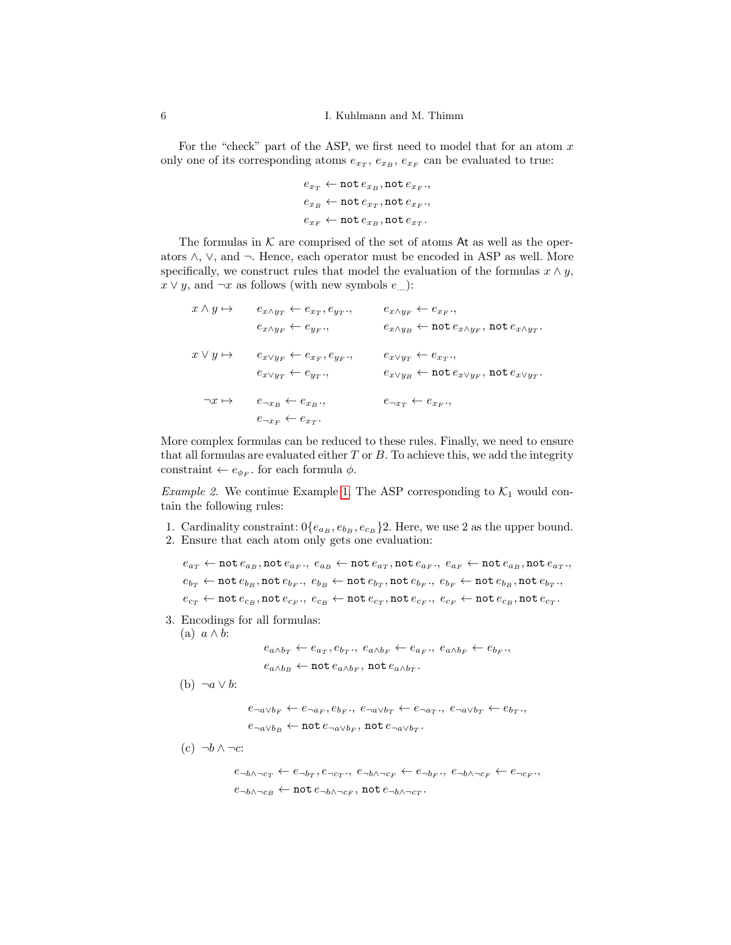For the "check" part of the ASP, we first need to model that for an atom  $x$ only one of its corresponding atoms  $e_{x_T}$ ,  $e_{x_B}$ ,  $e_{x_F}$  can be evaluated to true:

$$
\begin{aligned} e_{x_T} &\leftarrow \texttt{not}\, e_{x_B}, \texttt{not}\, e_{x_F}, \\ e_{x_B} &\leftarrow \texttt{not}\, e_{x_T}, \texttt{not}\, e_{x_F}, \\ e_{x_F} &\leftarrow \texttt{not}\, e_{x_B}, \texttt{not}\, e_{x_T}. \end{aligned}
$$

The formulas in  $K$  are comprised of the set of atoms At as well as the operators ∧, ∨, and ¬. Hence, each operator must be encoded in ASP as well. More specifically, we construct rules that model the evaluation of the formulas  $x \wedge y$ ,  $x \vee y$ , and  $\neg x$  as follows (with new symbols  $e_{\dots}$ ):

$$
x \wedge y \mapsto \qquad e_{x \wedge y_T} \leftarrow e_{x_T}, e_{y_T}, \qquad \qquad e_{x \wedge y_F} \leftarrow e_{x_F},
$$
\n
$$
e_{x \wedge y_F} \leftarrow e_{y_F}, \qquad \qquad e_{x \wedge y_B} \leftarrow \text{not } e_{x \wedge y_F}, \text{ not } e_{x \wedge y_T}.
$$
\n
$$
x \vee y \mapsto \qquad e_{x \vee y_F} \leftarrow e_{x_F}, e_{y_F}, \qquad \qquad e_{x \vee y_T} \leftarrow e_{x_T},
$$
\n
$$
e_{x \vee y_T} \leftarrow e_{y_T}, \qquad \qquad e_{x \vee y_B} \leftarrow \text{not } e_{x \vee y_F}, \text{not } e_{x \vee y_T}.
$$
\n
$$
\neg x \mapsto \qquad e_{\neg x_B} \leftarrow e_{x_B}, \qquad \qquad e_{\neg x_T} \leftarrow e_{x_F},
$$
\n
$$
e_{\neg x_F} \leftarrow e_{x_T}.
$$

More complex formulas can be reduced to these rules. Finally, we need to ensure that all formulas are evaluated either  $T$  or  $B$ . To achieve this, we add the integrity constraint  $\leftarrow e_{\phi_F}$ , for each formula  $\phi$ .

*Example 2.* We continue Example [1.](#page-3-0) The ASP corresponding to  $K_1$  would contain the following rules:

- 1. Cardinality constraint:  $0\{e_{a_B}, e_{b_B}, e_{c_B}\}$ 2. Here, we use 2 as the upper bound.
- 2. Ensure that each atom only gets one evaluation:

 $e_{a_T} \leftarrow \texttt{not}\, e_{a_B}, \texttt{not}\, e_{a_F}, \ e_{a_B} \leftarrow \texttt{not}\, e_{a_T}, \texttt{not}\, e_{a_F}, \ e_{a_F} \leftarrow \texttt{not}\, e_{a_B}, \texttt{not}\, e_{a_T},$  $e_{b_T} \leftarrow \texttt{not}\, e_{b_B}, \texttt{not}\, e_{b_F}, \ e_{b_B} \leftarrow \texttt{not}\, e_{b_T}, \texttt{not}\, e_{b_F}, \ e_{b_F} \leftarrow \texttt{not}\, e_{b_B}, \texttt{not}\, e_{b_T},$  $e_{c_T} \leftarrow \texttt{not}\, e_{c_B}, \texttt{not}\, e_{c_F}, \ e_{c_B} \leftarrow \texttt{not}\, e_{c_T}, \texttt{not}\, e_{c_F}, \ e_{c_F} \leftarrow \texttt{not}\, e_{c_B}, \texttt{not}\, e_{c_T}.$ 

3. Encodings for all formulas:

 $e_{a \wedge b_T} \leftarrow e_{a_T}, e_{b_T}, \ e_{a \wedge b_F} \leftarrow e_{a_F}, \ e_{a \wedge b_F} \leftarrow e_{b_F},$ 

 $e_{a \wedge b_B} \leftarrow \texttt{not} \, e_{a \wedge b_F}, \, \texttt{not} \, e_{a \wedge b_T}.$ 

(b)  $\neg a \vee b$ :

(a)  $a \wedge b$ :

 $e_{\neg a \lor b_F} \leftarrow e_{\neg a_F}, e_{b_F}, \ e_{\neg a \lor b_T} \leftarrow e_{\neg a_T}, \ e_{\neg a \lor b_T} \leftarrow e_{b_T},$  $e_{\neg a \vee b_B} \leftarrow \texttt{not} \, e_{\neg a \vee b_F}, \, \texttt{not} \, e_{\neg a \vee b_T}.$ 

 $(c) \neg b \wedge \neg c$ :

 $e_{\neg b \wedge \neg c_T} \leftarrow e_{\neg b_T}, e_{\neg c_T \cdot}, e_{\neg b \wedge \neg c_F} \leftarrow e_{\neg b_F \cdot}, e_{\neg b \wedge \neg c_F} \leftarrow e_{\neg c_F \cdot},$  $e_{\neg b \land \neg c_B} \leftarrow \texttt{not} \, e_{\neg b \land \neg c_F}, \, \texttt{not} \, e_{\neg b \land \neg c_T}.$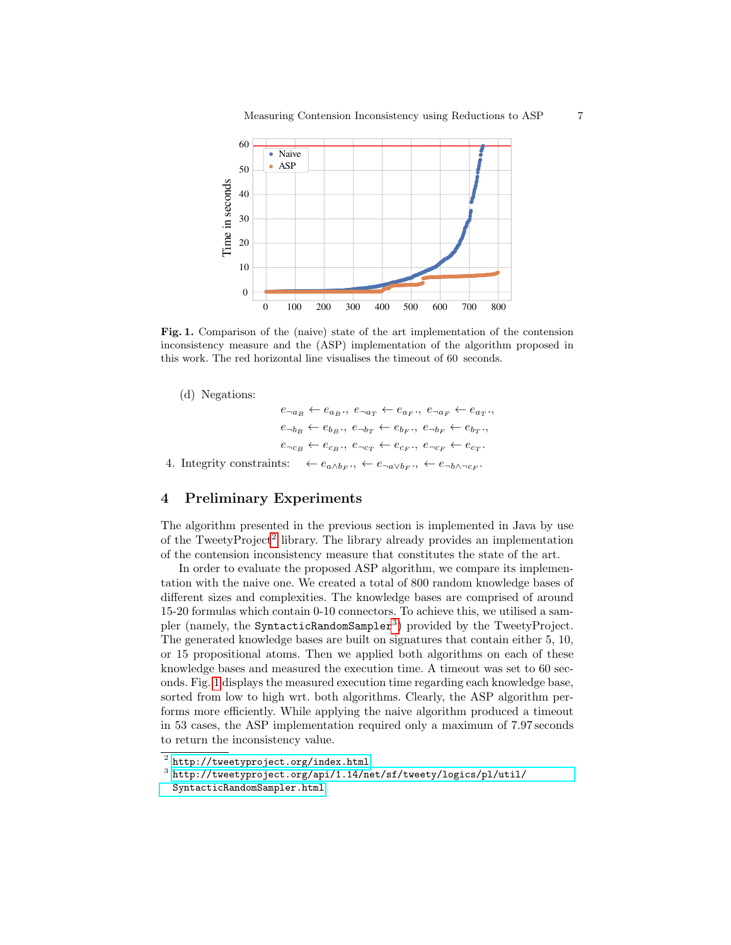

<span id="page-6-3"></span>Fig. 1. Comparison of the (naive) state of the art implementation of the contension inconsistency measure and the (ASP) implementation of the algorithm proposed in this work. The red horizontal line visualises the timeout of 60 seconds.

(d) Negations:

 $e_{\neg a_B} \leftarrow e_{a_B}$ ,  $e_{\neg a_T} \leftarrow e_{a_F}$ ,  $e_{\neg a_F} \leftarrow e_{a_T}$  $e_{\neg b_B} \leftarrow e_{b_B}$ ,  $e_{\neg b_T} \leftarrow e_{b_F}$ ,  $e_{\neg b_F} \leftarrow e_{b_T}$  $e_{\neg c_B} \leftarrow e_{c_B}$ ,  $e_{\neg c_T} \leftarrow e_{c_F}$ ,  $e_{\neg c_F} \leftarrow e_{c_T}$ . 4. Integrity constraints:  $\ldots, \leftarrow e_{\neg a \vee b_F}, \leftarrow e_{\neg b \wedge \neg c_F}.$ 

# <span id="page-6-0"></span>4 Preliminary Experiments

The algorithm presented in the previous section is implemented in Java by use of the TweetyProject<sup>[2](#page-6-1)</sup> library. The library already provides an implementation of the contension inconsistency measure that constitutes the state of the art.

In order to evaluate the proposed ASP algorithm, we compare its implementation with the naive one. We created a total of 800 random knowledge bases of different sizes and complexities. The knowledge bases are comprised of around 15-20 formulas which contain 0-10 connectors. To achieve this, we utilised a sam-pler (namely, the SyntacticRandomSampler<sup>[3](#page-6-2)</sup>) provided by the TweetyProject. The generated knowledge bases are built on signatures that contain either 5, 10, or 15 propositional atoms. Then we applied both algorithms on each of these knowledge bases and measured the execution time. A timeout was set to 60 seconds. Fig. [1](#page-6-3) displays the measured execution time regarding each knowledge base, sorted from low to high wrt. both algorithms. Clearly, the ASP algorithm performs more efficiently. While applying the naive algorithm produced a timeout in 53 cases, the ASP implementation required only a maximum of 7.97 seconds to return the inconsistency value.

<span id="page-6-1"></span> $^{\rm 2}$  <http://tweetyproject.org/index.html>

<span id="page-6-2"></span> $^3$  [http://tweetyproject.org/api/1.14/net/sf/tweety/logics/pl/util/](http://tweetyproject.org/api/1.14/net/sf/tweety/logics/pl/util/SyntacticRandomSampler.html) [SyntacticRandomSampler.html](http://tweetyproject.org/api/1.14/net/sf/tweety/logics/pl/util/SyntacticRandomSampler.html)